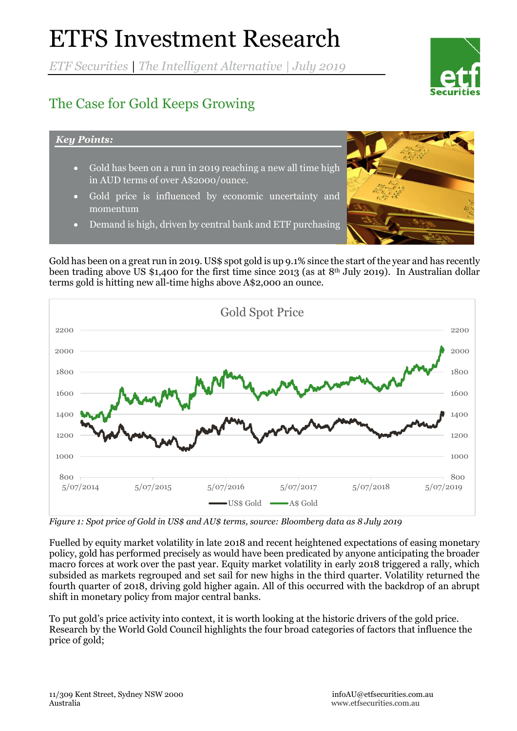# ETFS Investment Research

*ETF Securities | The Intelligent Alternative | July 2019*



# The Case for Gold Keeps Growing

### *Key Points:*

- Gold has been on a run in 2019 reaching a new all time high in AUD terms of over A\$2000/ounce.
- Gold price is influenced by economic uncertainty and momentum
- Demand is high, driven by central bank and ETF purchasing

Gold has been on a great run in 2019. US\$ spot gold is up 9.1% since the start of the year and has recently been trading above US \$1,400 for the first time since 2013 (as at  $8<sup>th</sup>$  July 2019). In Australian dollar terms gold is hitting new all-time highs above A\$2,000 an ounce.



*Figure 1: Spot price of Gold in US\$ and AU\$ terms, source: Bloomberg data as 8 July 2019*

Fuelled by equity market volatility in late 2018 and recent heightened expectations of easing monetary policy, gold has performed precisely as would have been predicated by anyone anticipating the broader macro forces at work over the past year. Equity market volatility in early 2018 triggered a rally, which subsided as markets regrouped and set sail for new highs in the third quarter. Volatility returned the fourth quarter of 2018, driving gold higher again. All of this occurred with the backdrop of an abrupt shift in monetary policy from major central banks.

To put gold's price activity into context, it is worth looking at the historic drivers of the gold price. Research by the World Gold Council highlights the four broad categories of factors that influence the price of gold;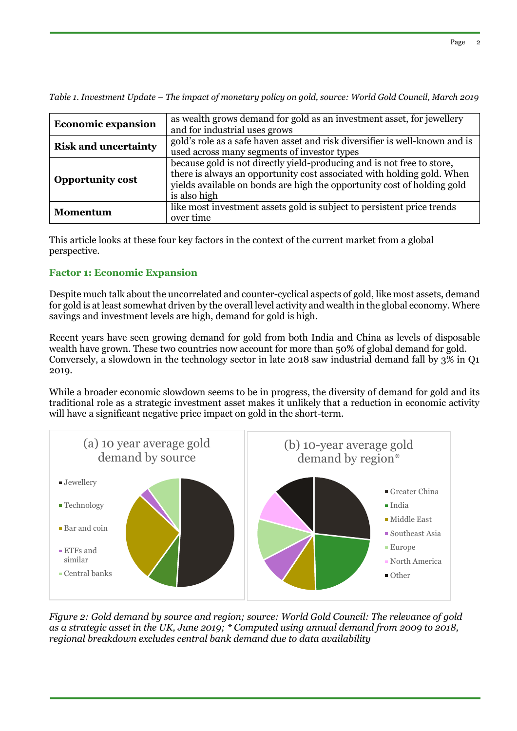| <b>Economic expansion</b>   | as wealth grows demand for gold as an investment asset, for jewellery<br>and for industrial uses grows                                                                                                                                      |
|-----------------------------|---------------------------------------------------------------------------------------------------------------------------------------------------------------------------------------------------------------------------------------------|
| <b>Risk and uncertainty</b> | gold's role as a safe haven asset and risk diversifier is well-known and is<br>used across many segments of investor types                                                                                                                  |
| <b>Opportunity cost</b>     | because gold is not directly yield-producing and is not free to store,<br>there is always an opportunity cost associated with holding gold. When<br>yields available on bonds are high the opportunity cost of holding gold<br>is also high |
| <b>Momentum</b>             | like most investment assets gold is subject to persistent price trends<br>over time                                                                                                                                                         |

*Table 1. Investment Update – The impact of monetary policy on gold, source: World Gold Council, March 2019*

This article looks at these four key factors in the context of the current market from a global perspective.

## **Factor 1: Economic Expansion**

Despite much talk about the uncorrelated and counter-cyclical aspects of gold, like most assets, demand for gold is at least somewhat driven by the overall level activity and wealth in the global economy. Where savings and investment levels are high, demand for gold is high.

Recent years have seen growing demand for gold from both India and China as levels of disposable wealth have grown. These two countries now account for more than 50% of global demand for gold. Conversely, a slowdown in the technology sector in late 2018 saw industrial demand fall by 3% in Q1 2019.

While a broader economic slowdown seems to be in progress, the diversity of demand for gold and its traditional role as a strategic investment asset makes it unlikely that a reduction in economic activity will have a significant negative price impact on gold in the short-term.



*Figure 2: Gold demand by source and region; source: World Gold Council: The relevance of gold as a strategic asset in the UK, June 2019; \* Computed using annual demand from 2009 to 2018, regional breakdown excludes central bank demand due to data availability*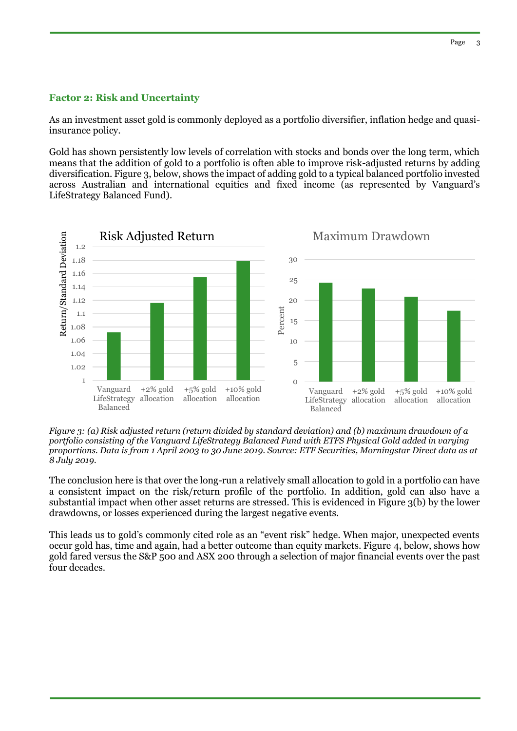#### **Factor 2: Risk and Uncertainty**

As an investment asset gold is commonly deployed as a portfolio diversifier, inflation hedge and quasiinsurance policy.

Gold has shown persistently low levels of correlation with stocks and bonds over the long term, which means that the addition of gold to a portfolio is often able to improve risk-adjusted returns by adding diversification. Figure 3, below, shows the impact of adding gold to a typical balanced portfolio invested across Australian and international equities and fixed income (as represented by Vanguard's LifeStrategy Balanced Fund).



*Figure 3: (a) Risk adjusted return (return divided by standard deviation) and (b) maximum drawdown of a portfolio consisting of the Vanguard LifeStrategy Balanced Fund with ETFS Physical Gold added in varying proportions. Data is from 1 April 2003 to 30 June 2019. Source: ETF Securities, Morningstar Direct data as at 8 July 2019.*

The conclusion here is that over the long-run a relatively small allocation to gold in a portfolio can have a consistent impact on the risk/return profile of the portfolio. In addition, gold can also have a substantial impact when other asset returns are stressed. This is evidenced in Figure 3(b) by the lower drawdowns, or losses experienced during the largest negative events.

This leads us to gold's commonly cited role as an "event risk" hedge. When major, unexpected events occur gold has, time and again, had a better outcome than equity markets. Figure 4, below, shows how gold fared versus the S&P 500 and ASX 200 through a selection of major financial events over the past four decades.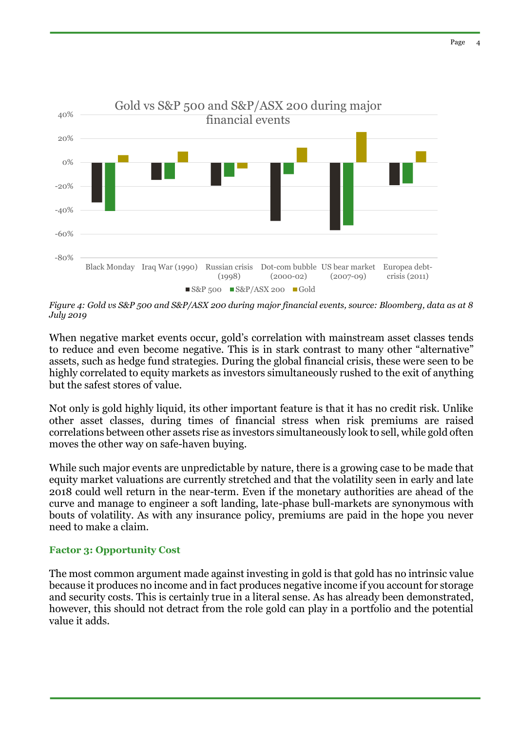

*Figure 4: Gold vs S&P 500 and S&P/ASX 200 during major financial events, source: Bloomberg, data as at 8 July 2019*

When negative market events occur, gold's correlation with mainstream asset classes tends to reduce and even become negative. This is in stark contrast to many other "alternative" assets, such as hedge fund strategies. During the global financial crisis, these were seen to be highly correlated to equity markets as investors simultaneously rushed to the exit of anything but the safest stores of value.

Not only is gold highly liquid, its other important feature is that it has no credit risk. Unlike other asset classes, during times of financial stress when risk premiums are raised correlations between other assets rise as investors simultaneously look to sell, while gold often moves the other way on safe-haven buying.

While such major events are unpredictable by nature, there is a growing case to be made that equity market valuations are currently stretched and that the volatility seen in early and late 2018 could well return in the near-term. Even if the monetary authorities are ahead of the curve and manage to engineer a soft landing, late-phase bull-markets are synonymous with bouts of volatility. As with any insurance policy, premiums are paid in the hope you never need to make a claim.

#### **Factor 3: Opportunity Cost**

The most common argument made against investing in gold is that gold has no intrinsic value because it produces no income and in fact produces negative income if you account for storage and security costs. This is certainly true in a literal sense. As has already been demonstrated, however, this should not detract from the role gold can play in a portfolio and the potential value it adds.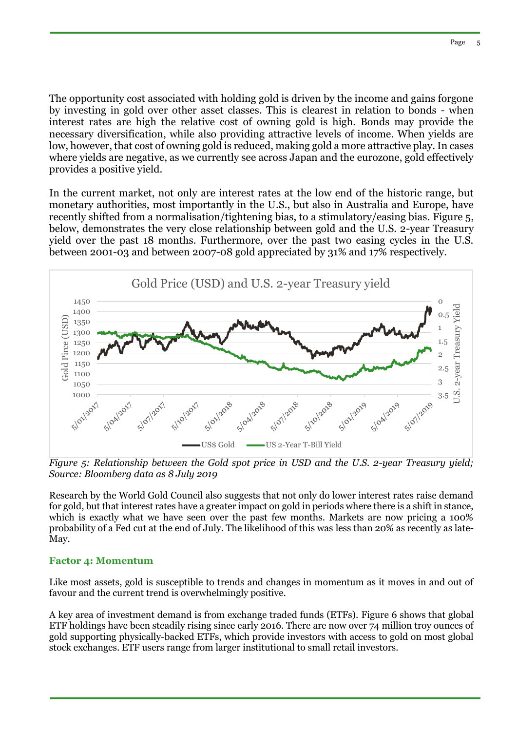The opportunity cost associated with holding gold is driven by the income and gains forgone by investing in gold over other asset classes. This is clearest in relation to bonds - when interest rates are high the relative cost of owning gold is high. Bonds may provide the necessary diversification, while also providing attractive levels of income. When yields are low, however, that cost of owning gold is reduced, making gold a more attractive play. In cases where yields are negative, as we currently see across Japan and the eurozone, gold effectively provides a positive yield.

In the current market, not only are interest rates at the low end of the historic range, but monetary authorities, most importantly in the U.S., but also in Australia and Europe, have recently shifted from a normalisation/tightening bias, to a stimulatory/easing bias. Figure 5, below, demonstrates the very close relationship between gold and the U.S. 2-year Treasury yield over the past 18 months. Furthermore, over the past two easing cycles in the U.S. between 2001-03 and between 2007-08 gold appreciated by 31% and 17% respectively.



*Figure 5: Relationship between the Gold spot price in USD and the U.S. 2-year Treasury yield; Source: Bloomberg data as 8 July 2019*

Research by the World Gold Council also suggests that not only do lower interest rates raise demand for gold, but that interest rates have a greater impact on gold in periods where there is a shift in stance, which is exactly what we have seen over the past few months. Markets are now pricing a 100% probability of a Fed cut at the end of July. The likelihood of this was less than 20% as recently as late-May.

#### **Factor 4: Momentum**

Like most assets, gold is susceptible to trends and changes in momentum as it moves in and out of favour and the current trend is overwhelmingly positive.

A key area of investment demand is from exchange traded funds (ETFs). Figure 6 shows that global ETF holdings have been steadily rising since early 2016. There are now over 74 million troy ounces of gold supporting physically-backed ETFs, which provide investors with access to gold on most global stock exchanges. ETF users range from larger institutional to small retail investors.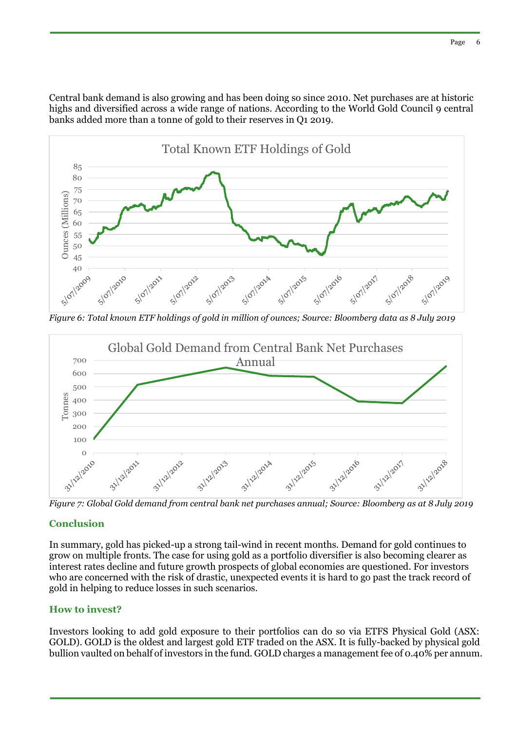Central bank demand is also growing and has been doing so since 2010. Net purchases are at historic highs and diversified across a wide range of nations. According to the World Gold Council 9 central banks added more than a tonne of gold to their reserves in Q1 2019.



*Figure 6: Total known ETF holdings of gold in million of ounces; Source: Bloomberg data as 8 July 2019*



*Figure 7: Global Gold demand from central bank net purchases annual; Source: Bloomberg as at 8 July 2019*

#### **Conclusion**

In summary, gold has picked-up a strong tail-wind in recent months. Demand for gold continues to grow on multiple fronts. The case for using gold as a portfolio diversifier is also becoming clearer as interest rates decline and future growth prospects of global economies are questioned. For investors who are concerned with the risk of drastic, unexpected events it is hard to go past the track record of gold in helping to reduce losses in such scenarios.

#### **How to invest?**

Investors looking to add gold exposure to their portfolios can do so via ETFS Physical Gold (ASX: GOLD). GOLD is the oldest and largest gold ETF traded on the ASX. It is fully-backed by physical gold bullion vaulted on behalf of investors in the fund. GOLD charges a management fee of 0.40% per annum.